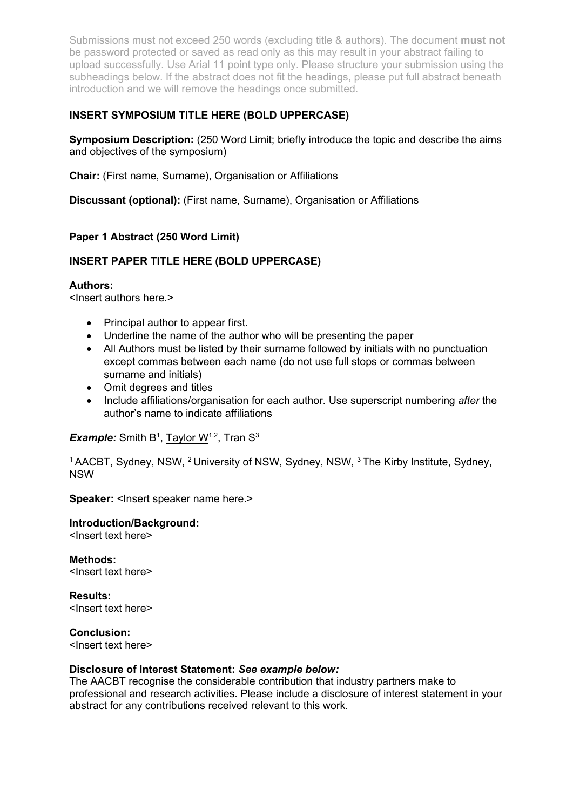Submissions must not exceed 250 words (excluding title & authors). The document must not be password protected or saved as read only as this may result in your abstract failing to upload successfully. Use Arial 11 point type only. Please structure your submission using the subheadings below. If the abstract does not fit the headings, please put full abstract beneath introduction and we will remove the headings once submitted.

# INSERT SYMPOSIUM TITLE HERE (BOLD UPPERCASE)

Symposium Description: (250 Word Limit; briefly introduce the topic and describe the aims and objectives of the symposium)

Chair: (First name, Surname), Organisation or Affiliations

Discussant (optional): (First name, Surname), Organisation or Affiliations

# Paper 1 Abstract (250 Word Limit)

## INSERT PAPER TITLE HERE (BOLD UPPERCASE)

## Authors:

<Insert authors here.>

- Principal author to appear first.
- Underline the name of the author who will be presenting the paper
- All Authors must be listed by their surname followed by initials with no punctuation except commas between each name (do not use full stops or commas between surname and initials)
- Omit degrees and titles
- Include affiliations/organisation for each author. Use superscript numbering after the author's name to indicate affiliations

**Example:** Smith B<sup>1</sup>, Taylor W<sup>1,2</sup>, Tran S<sup>3</sup>

<sup>1</sup> AACBT, Sydney, NSW, <sup>2</sup> University of NSW, Sydney, NSW, <sup>3</sup> The Kirby Institute, Sydney, NSW

Speaker: <lnsert speaker name here.>

#### Introduction/Background: <Insert text here>

Methods: <Insert text here>

Results: <Insert text here>

Conclusion: <Insert text here>

## Disclosure of Interest Statement: See example below:

The AACBT recognise the considerable contribution that industry partners make to professional and research activities. Please include a disclosure of interest statement in your abstract for any contributions received relevant to this work.